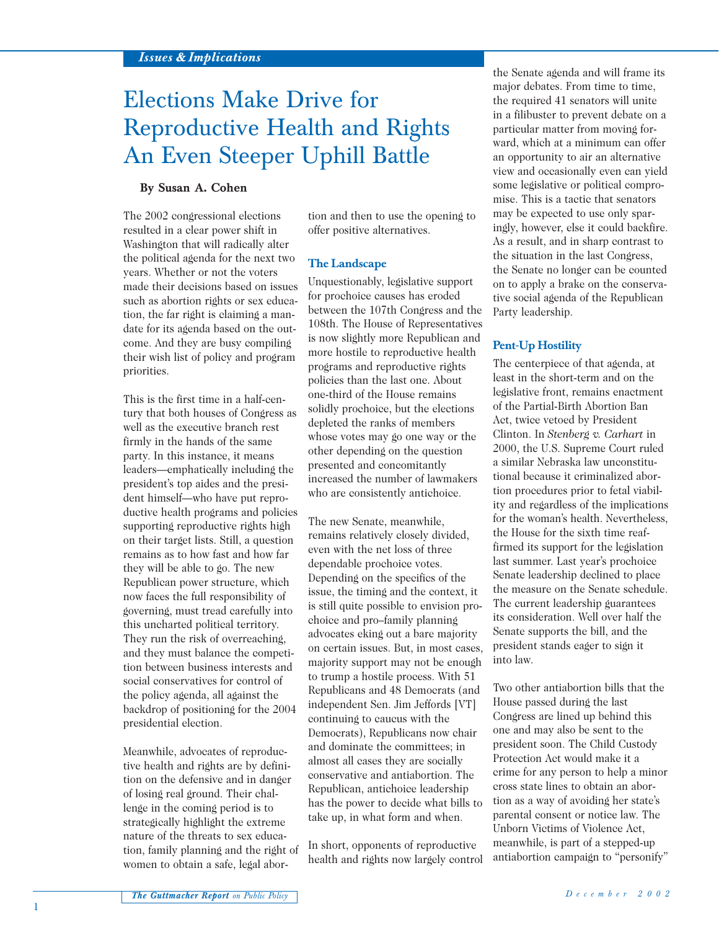# Elections Make Drive for Reproductive Health and Rights An Even Steeper Uphill Battle

## **By Susan A. Cohen**

The 2002 congressional elections resulted in a clear power shift in Washington that will radically alter the political agenda for the next two years. Whether or not the voters made their decisions based on issues such as abortion rights or sex education, the far right is claiming a mandate for its agenda based on the outcome. And they are busy compiling their wish list of policy and program priorities.

This is the first time in a half-century that both houses of Congress as well as the executive branch rest firmly in the hands of the same party. In this instance, it means leaders—emphatically including the president's top aides and the president himself—who have put reproductive health programs and policies supporting reproductive rights high on their target lists. Still, a question remains as to how fast and how far they will be able to go. The new Republican power structure, which now faces the full responsibility of governing, must tread carefully into this uncharted political territory. They run the risk of overreaching, and they must balance the competition between business interests and social conservatives for control of the policy agenda, all against the backdrop of positioning for the 2004 presidential election.

Meanwhile, advocates of reproductive health and rights are by definition on the defensive and in danger of losing real ground. Their challenge in the coming period is to strategically highlight the extreme nature of the threats to sex education, family planning and the right of women to obtain a safe, legal abor-

tion and then to use the opening to offer positive alternatives.

#### **The Landscape**

Unquestionably, legislative support for prochoice causes has eroded between the 107th Congress and the 108th. The House of Representatives is now slightly more Republican and more hostile to reproductive health programs and reproductive rights policies than the last one. About one-third of the House remains solidly prochoice, but the elections depleted the ranks of members whose votes may go one way or the other depending on the question presented and concomitantly increased the number of lawmakers who are consistently antichoice.

The new Senate, meanwhile, remains relatively closely divided, even with the net loss of three dependable prochoice votes. Depending on the specifics of the issue, the timing and the context, it is still quite possible to envision prochoice and pro–family planning advocates eking out a bare majority on certain issues. But, in most cases, majority support may not be enough to trump a hostile process. With 51 Republicans and 48 Democrats (and independent Sen. Jim Jeffords [VT] continuing to caucus with the Democrats), Republicans now chair and dominate the committees; in almost all cases they are socially conservative and antiabortion. The Republican, antichoice leadership has the power to decide what bills to take up, in what form and when.

In short, opponents of reproductive health and rights now largely control

the Senate agenda and will frame its major debates. From time to time, the required 41 senators will unite in a filibuster to prevent debate on a particular matter from moving forward, which at a minimum can offer an opportunity to air an alternative view and occasionally even can yield some legislative or political compromise. This is a tactic that senators may be expected to use only sparingly, however, else it could backfire. As a result, and in sharp contrast to the situation in the last Congress, the Senate no longer can be counted on to apply a brake on the conservative social agenda of the Republican Party leadership.

#### **Pent-Up Hostility**

The centerpiece of that agenda, at least in the short-term and on the legislative front, remains enactment of the Partial-Birth Abortion Ban Act, twice vetoed by President Clinton. In *Stenberg v. Carhart* in 2000, the U.S. Supreme Court ruled a similar Nebraska law unconstitutional because it criminalized abortion procedures prior to fetal viability and regardless of the implications for the woman's health. Nevertheless, the House for the sixth time reaffirmed its support for the legislation last summer. Last year's prochoice Senate leadership declined to place the measure on the Senate schedule. The current leadership guarantees its consideration. Well over half the Senate supports the bill, and the president stands eager to sign it into law.

Two other antiabortion bills that the House passed during the last Congress are lined up behind this one and may also be sent to the president soon. The Child Custody Protection Act would make it a crime for any person to help a minor cross state lines to obtain an abortion as a way of avoiding her state's parental consent or notice law. The Unborn Victims of Violence Act, meanwhile, is part of a stepped-up antiabortion campaign to "personify"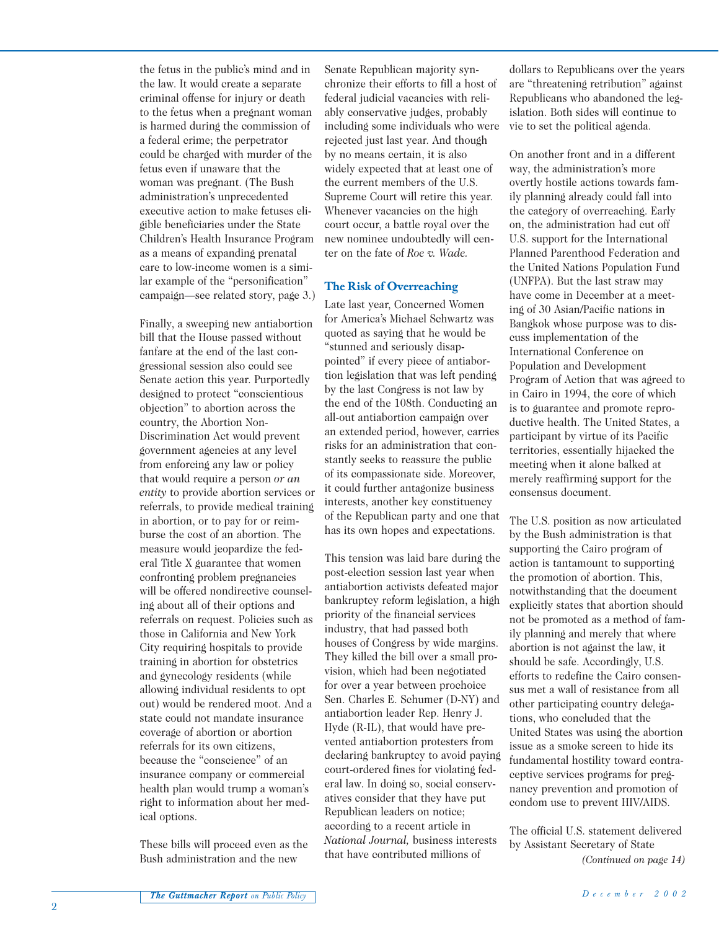the fetus in the public's mind and in the law. It would create a separate criminal offense for injury or death to the fetus when a pregnant woman is harmed during the commission of a federal crime; the perpetrator could be charged with murder of the fetus even if unaware that the woman was pregnant. (The Bush administration's unprecedented executive action to make fetuses eligible beneficiaries under the State Children's Health Insurance Program as a means of expanding prenatal care to low-income women is a similar example of the "personification" campaign—see related story, page 3.)

Finally, a sweeping new antiabortion bill that the House passed without fanfare at the end of the last congressional session also could see Senate action this year. Purportedly designed to protect "conscientious objection" to abortion across the country, the Abortion Non-Discrimination Act would prevent government agencies at any level from enforcing any law or policy that would require a person *or an entity* to provide abortion services or referrals, to provide medical training in abortion, or to pay for or reimburse the cost of an abortion. The measure would jeopardize the federal Title X guarantee that women confronting problem pregnancies will be offered nondirective counseling about all of their options and referrals on request. Policies such as those in California and New York City requiring hospitals to provide training in abortion for obstetrics and gynecology residents (while allowing individual residents to opt out) would be rendered moot. And a state could not mandate insurance coverage of abortion or abortion referrals for its own citizens, because the "conscience" of an insurance company or commercial health plan would trump a woman's right to information about her medical options.

These bills will proceed even as the Bush administration and the new

Senate Republican majority synchronize their efforts to fill a host of federal judicial vacancies with reliably conservative judges, probably including some individuals who were rejected just last year. And though by no means certain, it is also widely expected that at least one of the current members of the U.S. Supreme Court will retire this year. Whenever vacancies on the high court occur, a battle royal over the new nominee undoubtedly will center on the fate of *Roe v. Wade.*

## **The Risk of Overreaching**

Late last year, Concerned Women for America's Michael Schwartz was quoted as saying that he would be "stunned and seriously disappointed" if every piece of antiabortion legislation that was left pending by the last Congress is not law by the end of the 108th. Conducting an all-out antiabortion campaign over an extended period, however, carries risks for an administration that constantly seeks to reassure the public of its compassionate side. Moreover, it could further antagonize business interests, another key constituency of the Republican party and one that has its own hopes and expectations.

This tension was laid bare during the post-election session last year when antiabortion activists defeated major bankruptcy reform legislation, a high priority of the financial services industry, that had passed both houses of Congress by wide margins. They killed the bill over a small provision, which had been negotiated for over a year between prochoice Sen. Charles E. Schumer (D-NY) and antiabortion leader Rep. Henry J. Hyde (R-IL), that would have prevented antiabortion protesters from declaring bankruptcy to avoid paying court-ordered fines for violating federal law. In doing so, social conservatives consider that they have put Republican leaders on notice; according to a recent article in *National Journal,* business interests that have contributed millions of

dollars to Republicans over the years are "threatening retribution" against Republicans who abandoned the legislation. Both sides will continue to vie to set the political agenda.

On another front and in a different way, the administration's more overtly hostile actions towards family planning already could fall into the category of overreaching. Early on, the administration had cut off U.S. support for the International Planned Parenthood Federation and the United Nations Population Fund (UNFPA). But the last straw may have come in December at a meeting of 30 Asian/Pacific nations in Bangkok whose purpose was to discuss implementation of the International Conference on Population and Development Program of Action that was agreed to in Cairo in 1994, the core of which is to guarantee and promote reproductive health. The United States, a participant by virtue of its Pacific territories, essentially hijacked the meeting when it alone balked at merely reaffirming support for the consensus document.

The U.S. position as now articulated by the Bush administration is that supporting the Cairo program of action is tantamount to supporting the promotion of abortion. This, notwithstanding that the document explicitly states that abortion should not be promoted as a method of family planning and merely that where abortion is not against the law, it should be safe. Accordingly, U.S. efforts to redefine the Cairo consensus met a wall of resistance from all other participating country delegations, who concluded that the United States was using the abortion issue as a smoke screen to hide its fundamental hostility toward contraceptive services programs for pregnancy prevention and promotion of condom use to prevent HIV/AIDS.

The official U.S. statement delivered by Assistant Secretary of State *(Continued on page 14)*